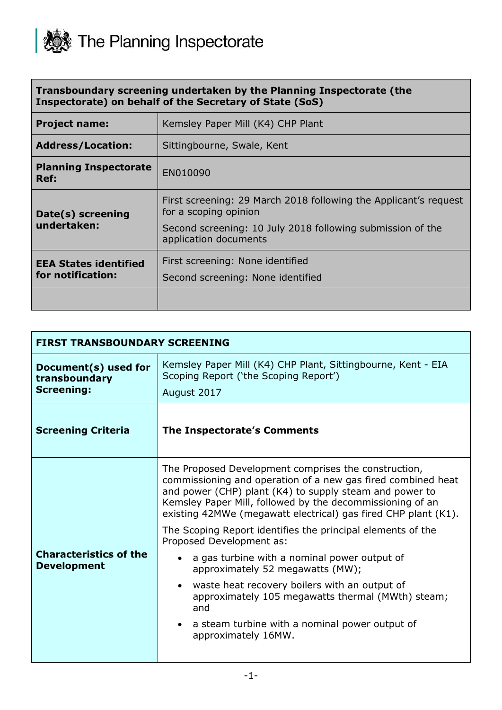

|                                                         | Transboundary screening undertaken by the Planning Inspectorate (the |  |
|---------------------------------------------------------|----------------------------------------------------------------------|--|
| Inspectorate) on behalf of the Secretary of State (SoS) |                                                                      |  |

| <b>Project name:</b>                 | Kemsley Paper Mill (K4) CHP Plant                                                                                                                       |
|--------------------------------------|---------------------------------------------------------------------------------------------------------------------------------------------------------|
| <b>Address/Location:</b>             | Sittingbourne, Swale, Kent                                                                                                                              |
| <b>Planning Inspectorate</b><br>Ref: | EN010090                                                                                                                                                |
| Date(s) screening<br>undertaken:     | First screening: 29 March 2018 following the Applicant's request<br>for a scoping opinion<br>Second screening: 10 July 2018 following submission of the |
|                                      | application documents                                                                                                                                   |
| <b>EEA States identified</b>         | First screening: None identified                                                                                                                        |
| for notification:                    | Second screening: None identified                                                                                                                       |
|                                      |                                                                                                                                                         |

| <b>FIRST TRANSBOUNDARY SCREENING</b>                       |                                                                                                                                                                                                                                                                                                                                                                               |
|------------------------------------------------------------|-------------------------------------------------------------------------------------------------------------------------------------------------------------------------------------------------------------------------------------------------------------------------------------------------------------------------------------------------------------------------------|
| Document(s) used for<br>transboundary<br><b>Screening:</b> | Kemsley Paper Mill (K4) CHP Plant, Sittingbourne, Kent - EIA<br>Scoping Report ('the Scoping Report')<br>August 2017                                                                                                                                                                                                                                                          |
| <b>Screening Criteria</b>                                  | <b>The Inspectorate's Comments</b>                                                                                                                                                                                                                                                                                                                                            |
|                                                            | The Proposed Development comprises the construction,<br>commissioning and operation of a new gas fired combined heat<br>and power (CHP) plant (K4) to supply steam and power to<br>Kemsley Paper Mill, followed by the decommissioning of an<br>existing 42MWe (megawatt electrical) gas fired CHP plant (K1).<br>The Scoping Report identifies the principal elements of the |
| <b>Characteristics of the</b><br><b>Development</b>        | Proposed Development as:<br>a gas turbine with a nominal power output of<br>approximately 52 megawatts (MW);<br>waste heat recovery boilers with an output of<br>$\bullet$<br>approximately 105 megawatts thermal (MWth) steam;<br>and<br>a steam turbine with a nominal power output of<br>approximately 16MW.                                                               |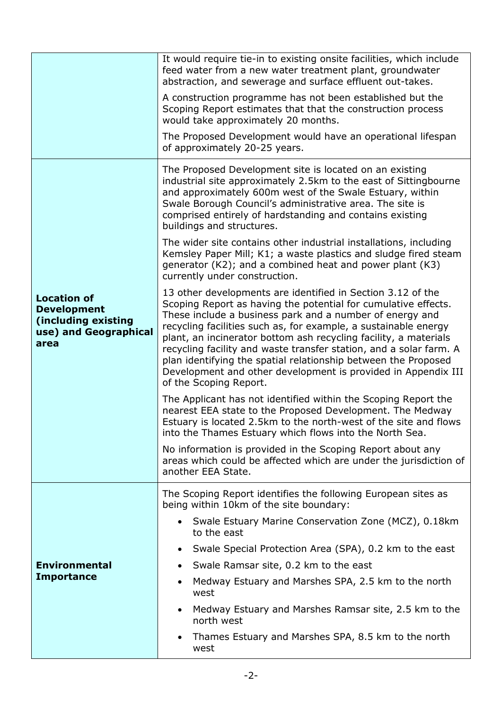|                                                                                                  | It would require tie-in to existing onsite facilities, which include<br>feed water from a new water treatment plant, groundwater<br>abstraction, and sewerage and surface effluent out-takes.                                                                                                                                                                                                                                                                                                                                                                       |
|--------------------------------------------------------------------------------------------------|---------------------------------------------------------------------------------------------------------------------------------------------------------------------------------------------------------------------------------------------------------------------------------------------------------------------------------------------------------------------------------------------------------------------------------------------------------------------------------------------------------------------------------------------------------------------|
|                                                                                                  | A construction programme has not been established but the<br>Scoping Report estimates that that the construction process<br>would take approximately 20 months.                                                                                                                                                                                                                                                                                                                                                                                                     |
|                                                                                                  | The Proposed Development would have an operational lifespan<br>of approximately 20-25 years.                                                                                                                                                                                                                                                                                                                                                                                                                                                                        |
|                                                                                                  | The Proposed Development site is located on an existing<br>industrial site approximately 2.5km to the east of Sittingbourne<br>and approximately 600m west of the Swale Estuary, within<br>Swale Borough Council's administrative area. The site is<br>comprised entirely of hardstanding and contains existing<br>buildings and structures.                                                                                                                                                                                                                        |
|                                                                                                  | The wider site contains other industrial installations, including<br>Kemsley Paper Mill; K1; a waste plastics and sludge fired steam<br>generator (K2); and a combined heat and power plant (K3)<br>currently under construction.                                                                                                                                                                                                                                                                                                                                   |
| <b>Location of</b><br><b>Development</b><br>(including existing<br>use) and Geographical<br>area | 13 other developments are identified in Section 3.12 of the<br>Scoping Report as having the potential for cumulative effects.<br>These include a business park and a number of energy and<br>recycling facilities such as, for example, a sustainable energy<br>plant, an incinerator bottom ash recycling facility, a materials<br>recycling facility and waste transfer station, and a solar farm. A<br>plan identifying the spatial relationship between the Proposed<br>Development and other development is provided in Appendix III<br>of the Scoping Report. |
|                                                                                                  | The Applicant has not identified within the Scoping Report the<br>nearest EEA state to the Proposed Development. The Medway<br>Estuary is located 2.5km to the north-west of the site and flows<br>into the Thames Estuary which flows into the North Sea.                                                                                                                                                                                                                                                                                                          |
|                                                                                                  | No information is provided in the Scoping Report about any<br>areas which could be affected which are under the jurisdiction of<br>another EEA State.                                                                                                                                                                                                                                                                                                                                                                                                               |
|                                                                                                  | The Scoping Report identifies the following European sites as<br>being within 10km of the site boundary:                                                                                                                                                                                                                                                                                                                                                                                                                                                            |
|                                                                                                  | • Swale Estuary Marine Conservation Zone (MCZ), 0.18km<br>to the east                                                                                                                                                                                                                                                                                                                                                                                                                                                                                               |
|                                                                                                  | Swale Special Protection Area (SPA), 0.2 km to the east                                                                                                                                                                                                                                                                                                                                                                                                                                                                                                             |
| <b>Environmental</b>                                                                             | Swale Ramsar site, 0.2 km to the east                                                                                                                                                                                                                                                                                                                                                                                                                                                                                                                               |
| <b>Importance</b>                                                                                | Medway Estuary and Marshes SPA, 2.5 km to the north<br>$\bullet$<br>west                                                                                                                                                                                                                                                                                                                                                                                                                                                                                            |
|                                                                                                  | Medway Estuary and Marshes Ramsar site, 2.5 km to the<br>$\bullet$<br>north west                                                                                                                                                                                                                                                                                                                                                                                                                                                                                    |
|                                                                                                  | Thames Estuary and Marshes SPA, 8.5 km to the north<br>$\bullet$<br>west                                                                                                                                                                                                                                                                                                                                                                                                                                                                                            |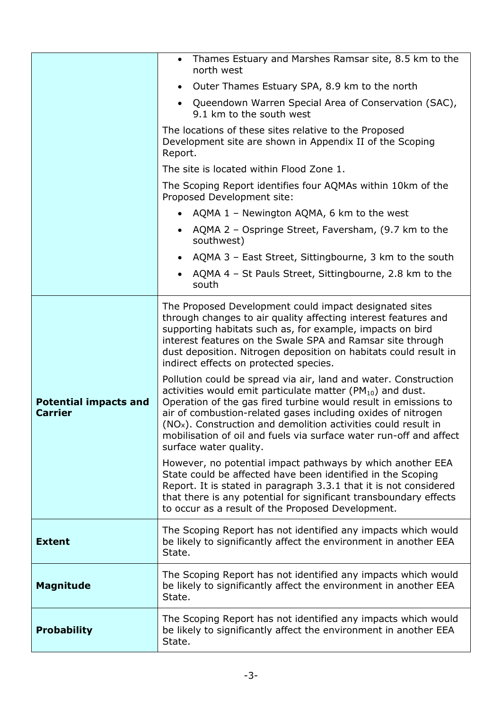|                                                | • Thames Estuary and Marshes Ramsar site, 8.5 km to the<br>north west                                                                                                                                                                                                                                                                                                                                                                                |
|------------------------------------------------|------------------------------------------------------------------------------------------------------------------------------------------------------------------------------------------------------------------------------------------------------------------------------------------------------------------------------------------------------------------------------------------------------------------------------------------------------|
|                                                | Outer Thames Estuary SPA, 8.9 km to the north<br>$\bullet$                                                                                                                                                                                                                                                                                                                                                                                           |
|                                                | • Queendown Warren Special Area of Conservation (SAC),<br>9.1 km to the south west                                                                                                                                                                                                                                                                                                                                                                   |
|                                                | The locations of these sites relative to the Proposed<br>Development site are shown in Appendix II of the Scoping<br>Report.                                                                                                                                                                                                                                                                                                                         |
|                                                | The site is located within Flood Zone 1.                                                                                                                                                                                                                                                                                                                                                                                                             |
|                                                | The Scoping Report identifies four AQMAs within 10km of the<br>Proposed Development site:                                                                                                                                                                                                                                                                                                                                                            |
|                                                | • AQMA $1$ – Newington AQMA, 6 km to the west                                                                                                                                                                                                                                                                                                                                                                                                        |
|                                                | AQMA 2 - Ospringe Street, Faversham, (9.7 km to the<br>$\bullet$<br>southwest)                                                                                                                                                                                                                                                                                                                                                                       |
|                                                | AQMA 3 - East Street, Sittingbourne, 3 km to the south                                                                                                                                                                                                                                                                                                                                                                                               |
|                                                | AQMA 4 - St Pauls Street, Sittingbourne, 2.8 km to the<br>south                                                                                                                                                                                                                                                                                                                                                                                      |
|                                                | The Proposed Development could impact designated sites<br>through changes to air quality affecting interest features and<br>supporting habitats such as, for example, impacts on bird<br>interest features on the Swale SPA and Ramsar site through<br>dust deposition. Nitrogen deposition on habitats could result in<br>indirect effects on protected species.                                                                                    |
| <b>Potential impacts and</b><br><b>Carrier</b> | Pollution could be spread via air, land and water. Construction<br>activities would emit particulate matter ( $PM_{10}$ ) and dust.<br>Operation of the gas fired turbine would result in emissions to<br>air of combustion-related gases including oxides of nitrogen<br>(NO <sub>x</sub> ). Construction and demolition activities could result in<br>mobilisation of oil and fuels via surface water run-off and affect<br>surface water quality. |
|                                                | However, no potential impact pathways by which another EEA<br>State could be affected have been identified in the Scoping<br>Report. It is stated in paragraph 3.3.1 that it is not considered<br>that there is any potential for significant transboundary effects<br>to occur as a result of the Proposed Development.                                                                                                                             |
| <b>Extent</b>                                  | The Scoping Report has not identified any impacts which would<br>be likely to significantly affect the environment in another EEA<br>State.                                                                                                                                                                                                                                                                                                          |
| <b>Magnitude</b>                               | The Scoping Report has not identified any impacts which would<br>be likely to significantly affect the environment in another EEA<br>State.                                                                                                                                                                                                                                                                                                          |
| <b>Probability</b>                             | The Scoping Report has not identified any impacts which would<br>be likely to significantly affect the environment in another EEA<br>State.                                                                                                                                                                                                                                                                                                          |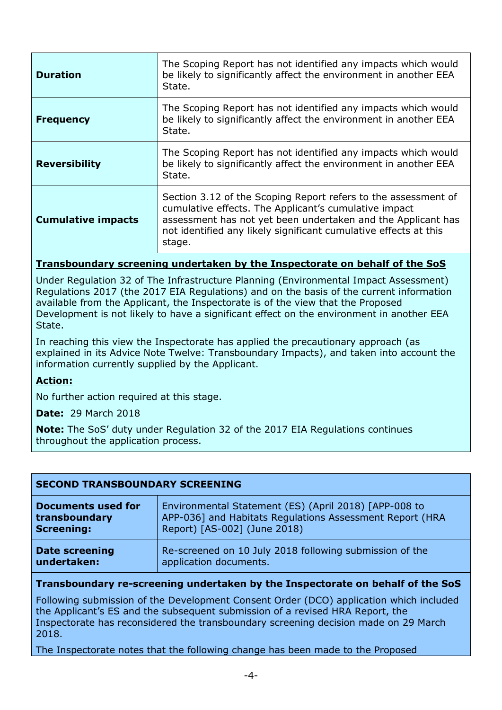| <b>Duration</b>           | The Scoping Report has not identified any impacts which would<br>be likely to significantly affect the environment in another EEA<br>State.                                                                                                                           |
|---------------------------|-----------------------------------------------------------------------------------------------------------------------------------------------------------------------------------------------------------------------------------------------------------------------|
| <b>Frequency</b>          | The Scoping Report has not identified any impacts which would<br>be likely to significantly affect the environment in another EEA<br>State.                                                                                                                           |
| <b>Reversibility</b>      | The Scoping Report has not identified any impacts which would<br>be likely to significantly affect the environment in another EEA<br>State.                                                                                                                           |
| <b>Cumulative impacts</b> | Section 3.12 of the Scoping Report refers to the assessment of<br>cumulative effects. The Applicant's cumulative impact<br>assessment has not yet been undertaken and the Applicant has<br>not identified any likely significant cumulative effects at this<br>stage. |

## **Transboundary screening undertaken by the Inspectorate on behalf of the SoS**

Under Regulation 32 of The Infrastructure Planning (Environmental Impact Assessment) Regulations 2017 (the 2017 EIA Regulations) and on the basis of the current information available from the Applicant, the Inspectorate is of the view that the Proposed Development is not likely to have a significant effect on the environment in another EEA State.

In reaching this view the Inspectorate has applied the precautionary approach (as explained in its Advice Note Twelve: Transboundary Impacts), and taken into account the information currently supplied by the Applicant.

## **Action:**

No further action required at this stage.

**Date:** 29 March 2018

**Note:** The SoS' duty under Regulation 32 of the 2017 EIA Regulations continues throughout the application process.

| <b>SECOND TRANSBOUNDARY SCREENING</b> |                                                          |  |
|---------------------------------------|----------------------------------------------------------|--|
| <b>Documents used for</b>             | Environmental Statement (ES) (April 2018) [APP-008 to    |  |
| transboundary                         | APP-036] and Habitats Regulations Assessment Report (HRA |  |
| <b>Screening:</b>                     | Report) [AS-002] (June 2018)                             |  |
| <b>Date screening</b>                 | Re-screened on 10 July 2018 following submission of the  |  |
| undertaken:                           | application documents.                                   |  |

## **Transboundary re-screening undertaken by the Inspectorate on behalf of the SoS**

Following submission of the Development Consent Order (DCO) application which included the Applicant's ES and the subsequent submission of a revised HRA Report, the Inspectorate has reconsidered the transboundary screening decision made on 29 March 2018.

The Inspectorate notes that the following change has been made to the Proposed